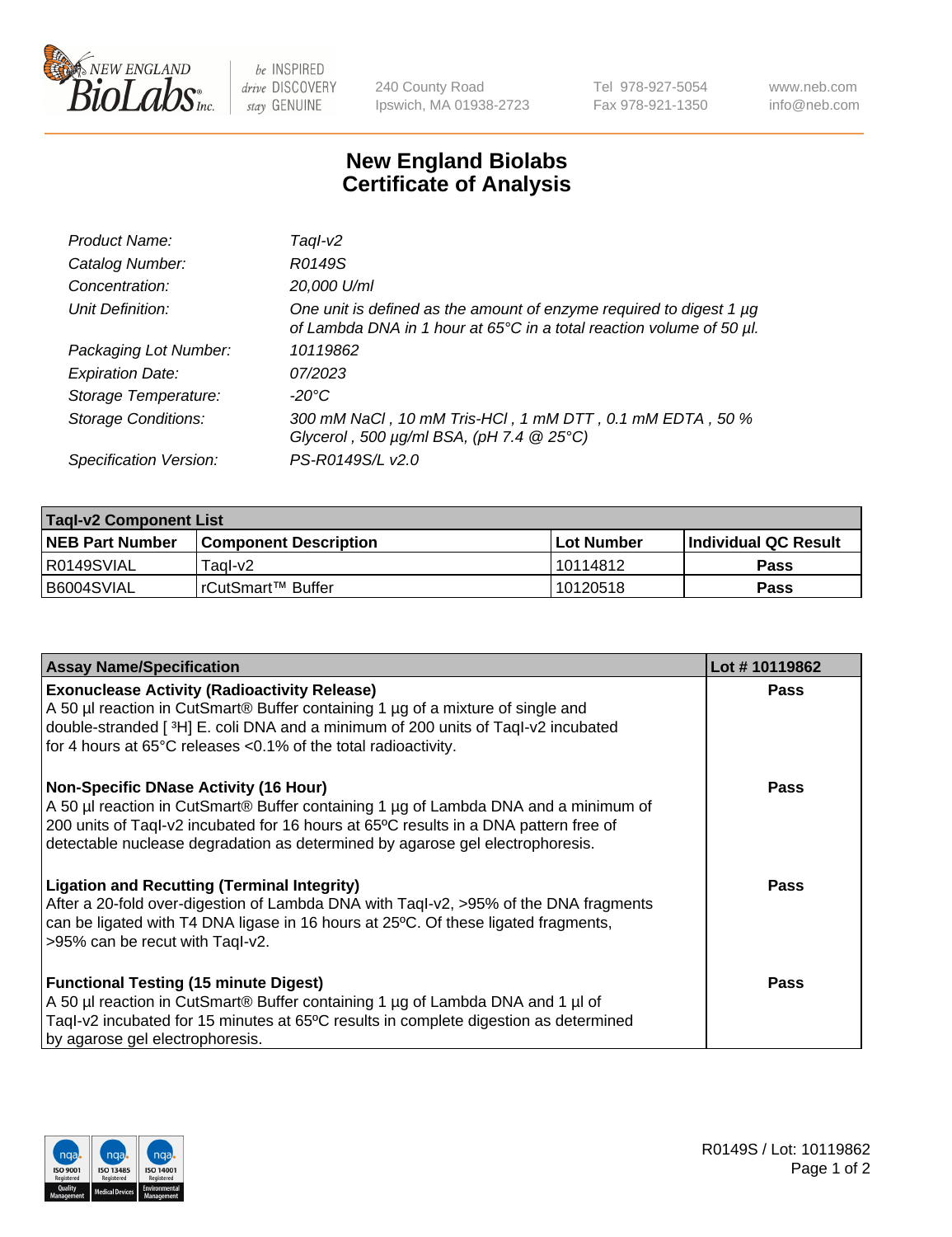

 $be$  INSPIRED drive DISCOVERY stay GENUINE

240 County Road Ipswich, MA 01938-2723 Tel 978-927-5054 Fax 978-921-1350 www.neb.com info@neb.com

## **New England Biolabs Certificate of Analysis**

| Product Name:              | Tagl-v2                                                                                                                                     |
|----------------------------|---------------------------------------------------------------------------------------------------------------------------------------------|
| Catalog Number:            | R0149S                                                                                                                                      |
| Concentration:             | 20,000 U/ml                                                                                                                                 |
| Unit Definition:           | One unit is defined as the amount of enzyme required to digest 1 µg<br>of Lambda DNA in 1 hour at 65°C in a total reaction volume of 50 µl. |
| Packaging Lot Number:      | 10119862                                                                                                                                    |
| <b>Expiration Date:</b>    | 07/2023                                                                                                                                     |
| Storage Temperature:       | $-20^{\circ}$ C                                                                                                                             |
| <b>Storage Conditions:</b> | 300 mM NaCl, 10 mM Tris-HCl, 1 mM DTT, 0.1 mM EDTA, 50 %<br>Glycerol, 500 $\mu$ g/ml BSA, (pH 7.4 $@25°C$ )                                 |
| Specification Version:     | PS-R0149S/L v2.0                                                                                                                            |

| <b>Tagl-v2 Component List</b> |                              |                   |                             |  |  |
|-------------------------------|------------------------------|-------------------|-----------------------------|--|--|
| <b>NEB Part Number</b>        | <b>Component Description</b> | <b>Lot Number</b> | <b>Individual QC Result</b> |  |  |
| I R0149SVIAL                  | Taɑl-v2                      | 10114812          | <b>Pass</b>                 |  |  |
| B6004SVIAL                    | !rCutSmart™ Buffer_          | 10120518          | Pass                        |  |  |

| <b>Assay Name/Specification</b>                                                                                                                                                                                                                                                                              | Lot #10119862 |
|--------------------------------------------------------------------------------------------------------------------------------------------------------------------------------------------------------------------------------------------------------------------------------------------------------------|---------------|
| <b>Exonuclease Activity (Radioactivity Release)</b><br>A 50 µl reaction in CutSmart® Buffer containing 1 µg of a mixture of single and<br>double-stranded [3H] E. coli DNA and a minimum of 200 units of Taql-v2 incubated<br>for 4 hours at 65°C releases <0.1% of the total radioactivity.                 | Pass          |
| <b>Non-Specific DNase Activity (16 Hour)</b><br>A 50 µl reaction in CutSmart® Buffer containing 1 µg of Lambda DNA and a minimum of<br>200 units of Taql-v2 incubated for 16 hours at 65°C results in a DNA pattern free of<br>detectable nuclease degradation as determined by agarose gel electrophoresis. | Pass          |
| <b>Ligation and Recutting (Terminal Integrity)</b><br>After a 20-fold over-digestion of Lambda DNA with Taql-v2, >95% of the DNA fragments<br>can be ligated with T4 DNA ligase in 16 hours at 25°C. Of these ligated fragments,<br>>95% can be recut with Taql-v2.                                          | Pass          |
| <b>Functional Testing (15 minute Digest)</b><br>A 50 µl reaction in CutSmart® Buffer containing 1 µg of Lambda DNA and 1 µl of<br>Tagl-v2 incubated for 15 minutes at 65°C results in complete digestion as determined<br>by agarose gel electrophoresis.                                                    | Pass          |